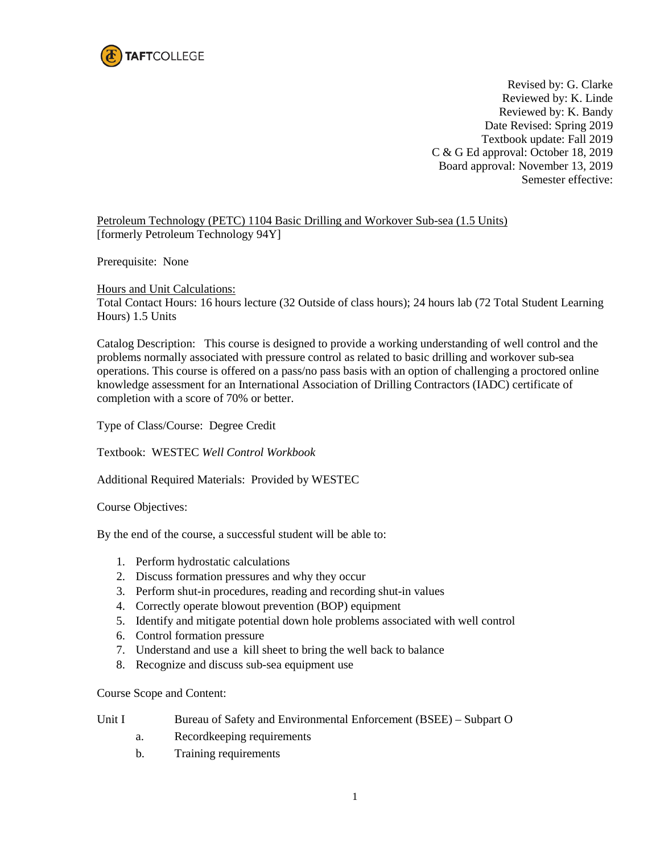

Revised by: G. Clarke Reviewed by: K. Linde Reviewed by: K. Bandy Date Revised: Spring 2019 Textbook update: Fall 2019 C & G Ed approval: October 18, 2019 Board approval: November 13, 2019 Semester effective:

Petroleum Technology (PETC) 1104 Basic Drilling and Workover Sub-sea (1.5 Units) [formerly Petroleum Technology 94Y]

Prerequisite: None

Hours and Unit Calculations:

Total Contact Hours: 16 hours lecture (32 Outside of class hours); 24 hours lab (72 Total Student Learning Hours) 1.5 Units

Catalog Description: This course is designed to provide a working understanding of well control and the problems normally associated with pressure control as related to basic drilling and workover sub-sea operations. This course is offered on a pass/no pass basis with an option of challenging a proctored online knowledge assessment for an International Association of Drilling Contractors (IADC) certificate of completion with a score of 70% or better.

Type of Class/Course: Degree Credit

Textbook: WESTEC *Well Control Workbook*

Additional Required Materials: Provided by WESTEC

Course Objectives:

By the end of the course, a successful student will be able to:

- 1. Perform hydrostatic calculations
- 2. Discuss formation pressures and why they occur
- 3. Perform shut-in procedures, reading and recording shut-in values
- 4. Correctly operate blowout prevention (BOP) equipment
- 5. Identify and mitigate potential down hole problems associated with well control
- 6. Control formation pressure
- 7. Understand and use a kill sheet to bring the well back to balance
- 8. Recognize and discuss sub-sea equipment use

Course Scope and Content:

| Unit I |  | Bureau of Safety and Environmental Enforcement (BSEE) – Subpart O |  |  |  |
|--------|--|-------------------------------------------------------------------|--|--|--|
|--------|--|-------------------------------------------------------------------|--|--|--|

- a. Recordkeeping requirements
- b. Training requirements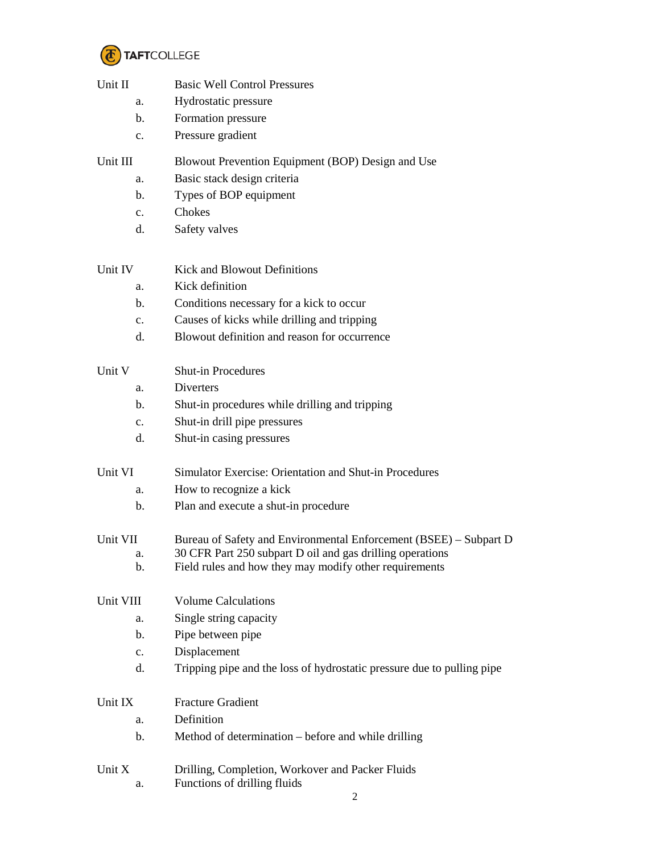

| Unit II        | <b>Basic Well Control Pressures</b>                                              |  |  |
|----------------|----------------------------------------------------------------------------------|--|--|
| a.             | Hydrostatic pressure                                                             |  |  |
| b.             | Formation pressure                                                               |  |  |
| c.             | Pressure gradient                                                                |  |  |
| Unit III       | Blowout Prevention Equipment (BOP) Design and Use                                |  |  |
| a.             | Basic stack design criteria                                                      |  |  |
| b.             | Types of BOP equipment                                                           |  |  |
| $\mathbf{c}$ . | Chokes                                                                           |  |  |
| d.             | Safety valves                                                                    |  |  |
| Unit IV        | <b>Kick and Blowout Definitions</b>                                              |  |  |
| a.             | Kick definition                                                                  |  |  |
| b.             | Conditions necessary for a kick to occur                                         |  |  |
| $\mathbf{c}$ . | Causes of kicks while drilling and tripping                                      |  |  |
| d.             | Blowout definition and reason for occurrence                                     |  |  |
| Unit V         | <b>Shut-in Procedures</b>                                                        |  |  |
| a.             | Diverters                                                                        |  |  |
| b.             | Shut-in procedures while drilling and tripping                                   |  |  |
| $\mathbf{c}$ . | Shut-in drill pipe pressures                                                     |  |  |
| d.             | Shut-in casing pressures                                                         |  |  |
| Unit VI        | Simulator Exercise: Orientation and Shut-in Procedures                           |  |  |
| a.             | How to recognize a kick                                                          |  |  |
| b.             | Plan and execute a shut-in procedure                                             |  |  |
| Unit VII       | Bureau of Safety and Environmental Enforcement (BSEE) - Subpart D                |  |  |
| a.             | 30 CFR Part 250 subpart D oil and gas drilling operations                        |  |  |
| b.             | Field rules and how they may modify other requirements                           |  |  |
| Unit VIII      | <b>Volume Calculations</b>                                                       |  |  |
| a.             | Single string capacity                                                           |  |  |
| b.             | Pipe between pipe                                                                |  |  |
| $\mathbf{c}$ . | Displacement                                                                     |  |  |
| d.             | Tripping pipe and the loss of hydrostatic pressure due to pulling pipe           |  |  |
| Unit IX        | <b>Fracture Gradient</b>                                                         |  |  |
| a.             | Definition                                                                       |  |  |
| b.             | Method of determination – before and while drilling                              |  |  |
| Unit X<br>a.   | Drilling, Completion, Workover and Packer Fluids<br>Functions of drilling fluids |  |  |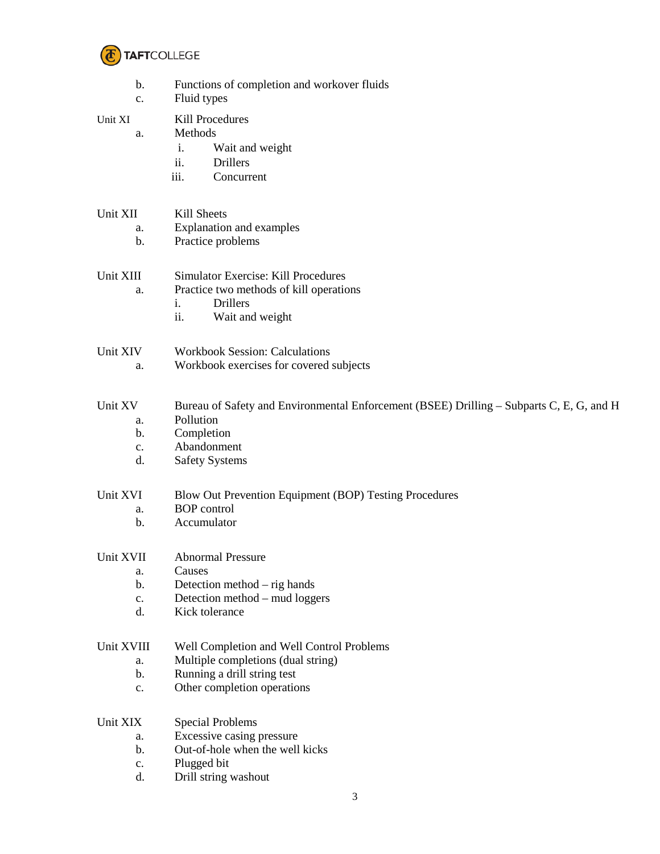

| b.<br>c.       | Functions of completion and workover fluids<br>Fluid types                               |  |  |
|----------------|------------------------------------------------------------------------------------------|--|--|
| Unit XI        | Kill Procedures                                                                          |  |  |
| a.             | Methods                                                                                  |  |  |
|                | Wait and weight<br>i.                                                                    |  |  |
|                | ii.<br><b>Drillers</b>                                                                   |  |  |
|                | iii.<br>Concurrent                                                                       |  |  |
|                |                                                                                          |  |  |
| Unit XII       | Kill Sheets                                                                              |  |  |
| a.             | Explanation and examples                                                                 |  |  |
| b.             | Practice problems                                                                        |  |  |
| Unit XIII      | <b>Simulator Exercise: Kill Procedures</b>                                               |  |  |
| a.             | Practice two methods of kill operations                                                  |  |  |
|                | <b>Drillers</b><br>i.                                                                    |  |  |
|                | ii.<br>Wait and weight                                                                   |  |  |
| Unit XIV       | <b>Workbook Session: Calculations</b>                                                    |  |  |
| a.             | Workbook exercises for covered subjects                                                  |  |  |
|                |                                                                                          |  |  |
| Unit XV        | Bureau of Safety and Environmental Enforcement (BSEE) Drilling – Subparts C, E, G, and H |  |  |
| a.             | Pollution                                                                                |  |  |
| b.             | Completion                                                                               |  |  |
| c.             | Abandonment                                                                              |  |  |
| d.             | <b>Safety Systems</b>                                                                    |  |  |
| Unit XVI       | Blow Out Prevention Equipment (BOP) Testing Procedures                                   |  |  |
| a.             | <b>BOP</b> control                                                                       |  |  |
| b.             | Accumulator                                                                              |  |  |
| Unit XVII      | <b>Abnormal Pressure</b>                                                                 |  |  |
| a.             | Causes                                                                                   |  |  |
| b.             | Detection method $-$ rig hands                                                           |  |  |
| $\mathbf{C}$ . | Detection method – mud loggers                                                           |  |  |
| d.             | Kick tolerance                                                                           |  |  |
| Unit XVIII     | Well Completion and Well Control Problems                                                |  |  |
| a.             | Multiple completions (dual string)                                                       |  |  |
| b.             | Running a drill string test                                                              |  |  |
| c.             | Other completion operations                                                              |  |  |
| Unit XIX       | <b>Special Problems</b>                                                                  |  |  |
| a.             | Excessive casing pressure                                                                |  |  |
| b.             | Out-of-hole when the well kicks                                                          |  |  |
| c.             | Plugged bit                                                                              |  |  |
| d.             | Drill string washout                                                                     |  |  |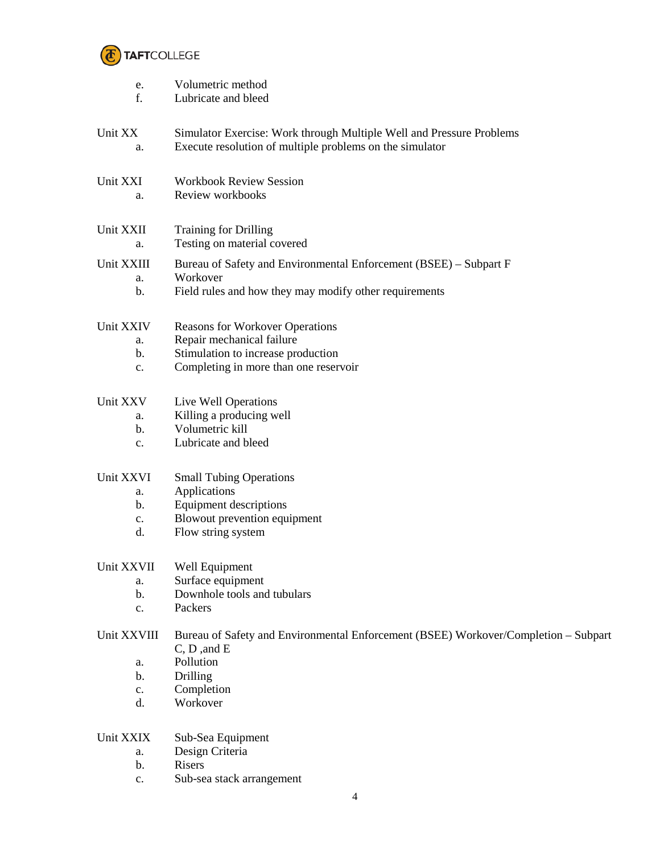

| e.<br>f.        | Volumetric method<br>Lubricate and bleed                                                                                         |
|-----------------|----------------------------------------------------------------------------------------------------------------------------------|
| Unit XX<br>a.   | Simulator Exercise: Work through Multiple Well and Pressure Problems<br>Execute resolution of multiple problems on the simulator |
| Unit XXI<br>a.  | <b>Workbook Review Session</b><br>Review workbooks                                                                               |
| Unit XXII<br>a. | <b>Training for Drilling</b><br>Testing on material covered                                                                      |
| Unit XXIII      | Bureau of Safety and Environmental Enforcement (BSEE) – Subpart F                                                                |
| a.<br>b.        | Workover<br>Field rules and how they may modify other requirements                                                               |
| Unit XXIV       | <b>Reasons for Workover Operations</b>                                                                                           |
| a.              | Repair mechanical failure                                                                                                        |
| b.<br>c.        | Stimulation to increase production<br>Completing in more than one reservoir                                                      |
| Unit XXV        | Live Well Operations                                                                                                             |
| a.              | Killing a producing well                                                                                                         |
| b.              | Volumetric kill                                                                                                                  |
| $\mathbf{c}$ .  | Lubricate and bleed                                                                                                              |
| Unit XXVI       | <b>Small Tubing Operations</b>                                                                                                   |
| a.              | Applications                                                                                                                     |
| b.              | <b>Equipment descriptions</b>                                                                                                    |
| c.<br>d.        | Blowout prevention equipment<br>Flow string system                                                                               |
| Unit XXVII      | Well Equipment                                                                                                                   |
| a.              | Surface equipment                                                                                                                |
| b.              | Downhole tools and tubulars                                                                                                      |
| c.              | Packers                                                                                                                          |
| Unit XXVIII     | Bureau of Safety and Environmental Enforcement (BSEE) Workover/Completion - Subpart                                              |
|                 | C, D, and E<br>Pollution                                                                                                         |
| a.<br>b.        | Drilling                                                                                                                         |
| $\mathbf{c}$ .  | Completion                                                                                                                       |
| d.              | Workover                                                                                                                         |
| Unit XXIX       | Sub-Sea Equipment                                                                                                                |
| a.              | Design Criteria                                                                                                                  |
| b.              | Risers                                                                                                                           |
| c.              | Sub-sea stack arrangement                                                                                                        |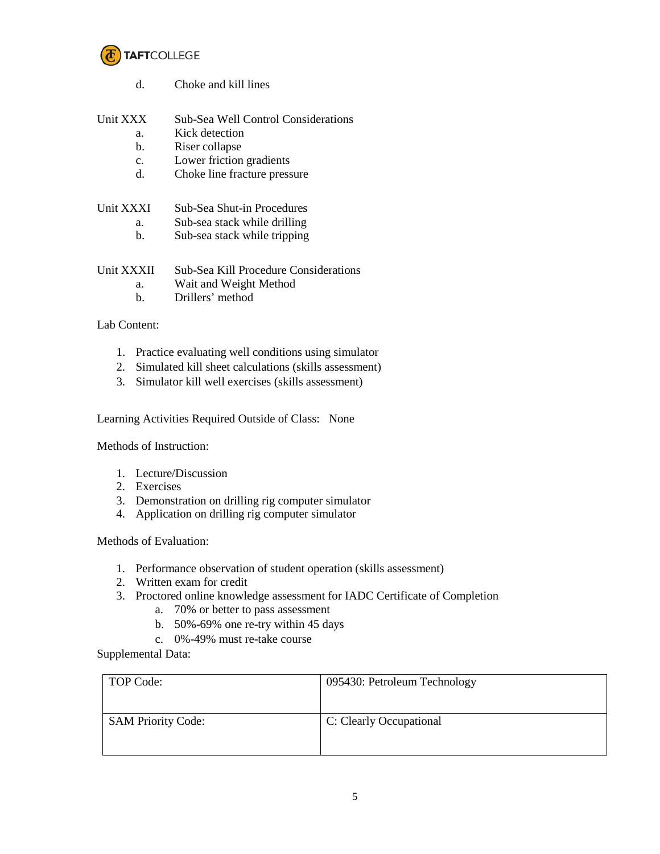

d. Choke and kill lines Unit XXX Sub-Sea Well Control Considerations a. Kick detection b. Riser collapse c. Lower friction gradients d. Choke line fracture pressure

## Unit XXXI Sub-Sea Shut-in Procedures

- a. Sub-sea stack while drilling
- b. Sub-sea stack while tripping

## Unit XXXII Sub-Sea Kill Procedure Considerations

- a. Wait and Weight Method
- b. Drillers' method

## Lab Content:

- 1. Practice evaluating well conditions using simulator
- 2. Simulated kill sheet calculations (skills assessment)
- 3. Simulator kill well exercises (skills assessment)

Learning Activities Required Outside of Class: None

Methods of Instruction:

- 1. Lecture/Discussion
- 2. Exercises
- 3. Demonstration on drilling rig computer simulator
- 4. Application on drilling rig computer simulator

Methods of Evaluation:

- 1. Performance observation of student operation (skills assessment)
- 2. Written exam for credit
- 3. Proctored online knowledge assessment for IADC Certificate of Completion
	- a. 70% or better to pass assessment
	- b. 50%-69% one re-try within 45 days
	- c. 0%-49% must re-take course

Supplemental Data:

| TOP Code:                 | 095430: Petroleum Technology |  |
|---------------------------|------------------------------|--|
| <b>SAM Priority Code:</b> | C: Clearly Occupational      |  |